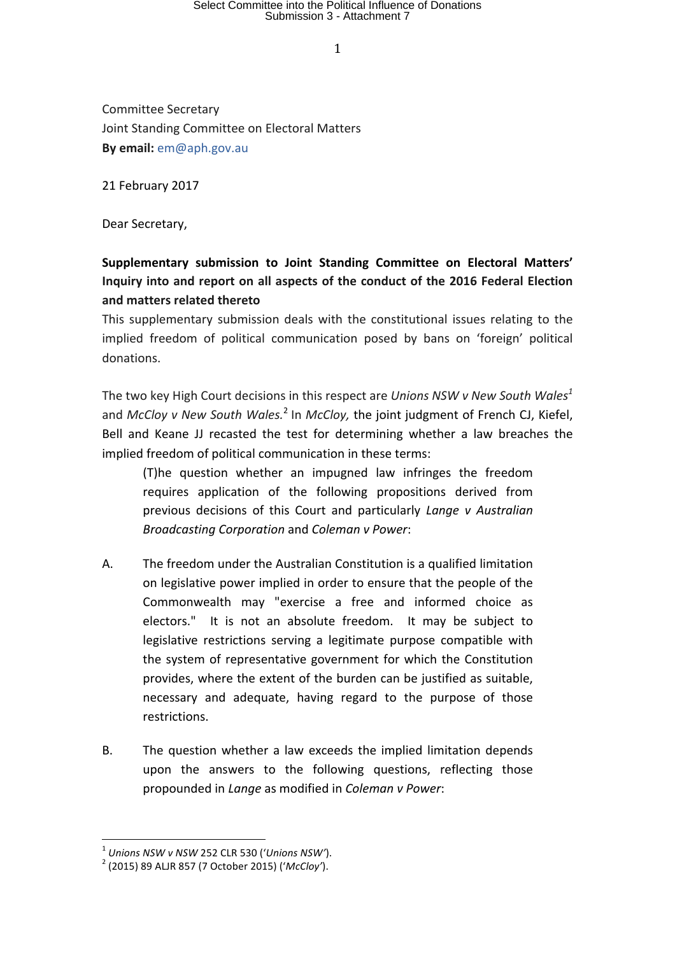## Select Committee into the Political Influence of Donations Submission 3 - Attachment 7

1

Committee Secretary Joint Standing Committee on Electoral Matters **By email:** em@aph.gov.au

21 February 2017

Dear Secretary,

## Supplementary submission to Joint Standing Committee on Electoral Matters' **Inquiry into and report on all aspects of the conduct of the 2016 Federal Election and matters related thereto**

This supplementary submission deals with the constitutional issues relating to the implied freedom of political communication posed by bans on 'foreign' political donations.

The two key High Court decisions in this respect are *Unions NSW v New South Wales*<sup>1</sup> and *McCloy v New South Wales.*<sup>2</sup> In *McCloy,* the joint judgment of French CJ, Kiefel, Bell and Keane JJ recasted the test for determining whether a law breaches the implied freedom of political communication in these terms:

(T)he question whether an impugned law infringes the freedom requires application of the following propositions derived from previous decisions of this Court and particularly *Lange* v Australian *Broadcasting Corporation* and *Coleman v Power*:

- A. The freedom under the Australian Constitution is a qualified limitation on legislative power implied in order to ensure that the people of the Commonwealth may "exercise a free and informed choice as electors." It is not an absolute freedom. It may be subject to legislative restrictions serving a legitimate purpose compatible with the system of representative government for which the Constitution provides, where the extent of the burden can be justified as suitable, necessary and adequate, having regard to the purpose of those restrictions.
- B. The question whether a law exceeds the implied limitation depends upon the answers to the following questions, reflecting those propounded in *Lange* as modified in *Coleman v Power*:

<sup>&</sup>lt;sup>1</sup> Unions NSW v NSW 252 CLR 530 ('Unions NSW').<br><sup>2</sup> (2015) 89 ALJR 857 (7 October 2015) ('McCloy').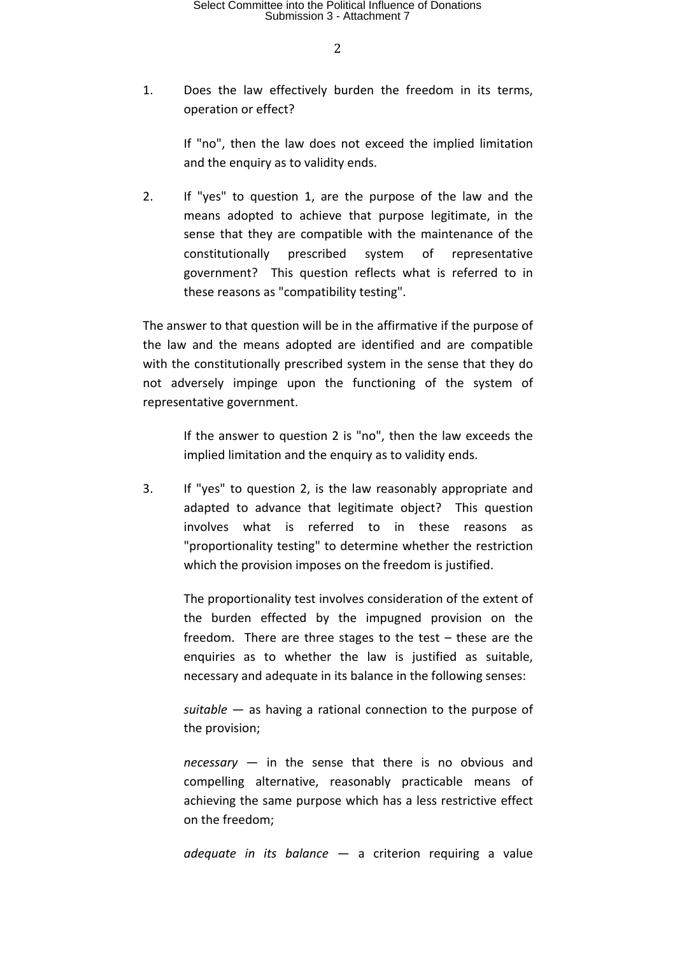1. Does the law effectively burden the freedom in its terms, operation or effect?

> If "no", then the law does not exceed the implied limitation and the enquiry as to validity ends.

2. If "yes" to question 1, are the purpose of the law and the means adopted to achieve that purpose legitimate, in the sense that they are compatible with the maintenance of the constitutionally prescribed system of representative government? This question reflects what is referred to in these reasons as "compatibility testing".

The answer to that question will be in the affirmative if the purpose of the law and the means adopted are identified and are compatible with the constitutionally prescribed system in the sense that they do not adversely impinge upon the functioning of the system of representative government.

> If the answer to question 2 is "no", then the law exceeds the implied limitation and the enquiry as to validity ends.

3. If "yes" to question 2, is the law reasonably appropriate and adapted to advance that legitimate object? This question involves what is referred to in these reasons as "proportionality testing" to determine whether the restriction which the provision imposes on the freedom is justified.

> The proportionality test involves consideration of the extent of the burden effected by the impugned provision on the freedom. There are three stages to the test  $-$  these are the enquiries as to whether the law is justified as suitable, necessary and adequate in its balance in the following senses:

> $suit -$  as having a rational connection to the purpose of the provision;

> $necessary - in$  the sense that there is no obvious and compelling alternative, reasonably practicable means of achieving the same purpose which has a less restrictive effect on the freedom;

> *adequate in its balance* — a criterion requiring a value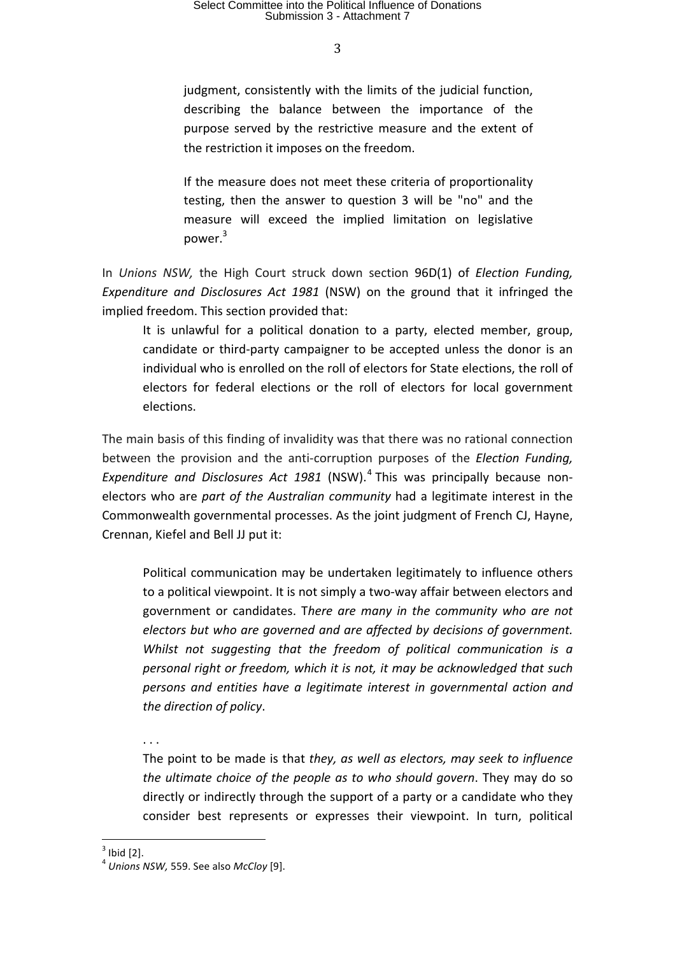3

judgment, consistently with the limits of the judicial function, describing the balance between the importance of the purpose served by the restrictive measure and the extent of the restriction it imposes on the freedom.

If the measure does not meet these criteria of proportionality testing, then the answer to question 3 will be "no" and the measure will exceed the implied limitation on legislative power.<sup>3</sup>

In *Unions NSW,* the High Court struck down section 96D(1) of *Election Funding*, *Expenditure and Disclosures Act 1981* (NSW) on the ground that it infringed the implied freedom. This section provided that:

It is unlawful for a political donation to a party, elected member, group, candidate or third-party campaigner to be accepted unless the donor is an individual who is enrolled on the roll of electors for State elections, the roll of electors for federal elections or the roll of electors for local government elections.

The main basis of this finding of invalidity was that there was no rational connection between the provision and the anti-corruption purposes of the *Election Funding*, Expenditure and Disclosures Act 1981 (NSW).<sup>4</sup> This was principally because nonelectors who are *part of the Australian community* had a legitimate interest in the Commonwealth governmental processes. As the joint judgment of French CJ, Hayne, Crennan, Kiefel and Bell JJ put it:

Political communication may be undertaken legitimately to influence others to a political viewpoint. It is not simply a two-way affair between electors and government or candidates. There are many in the community who are not *electors but who are governed and are affected by decisions of government. Whilst* not suggesting that the freedom of political communication is a *personal right or freedom, which it is not, it may be acknowledged that such persons and entities have a legitimate interest in governmental action and the direction of policy*.

 $\ldots$ 

The point to be made is that *they, as well as electors, may seek to influence the ultimate choice of the people as to who should govern*. They may do so directly or indirectly through the support of a party or a candidate who they consider best represents or expresses their viewpoint. In turn, political

 $3$  Ibid [2].<br> $4$  *Unions NSW, 559.* See also *McCloy* [9].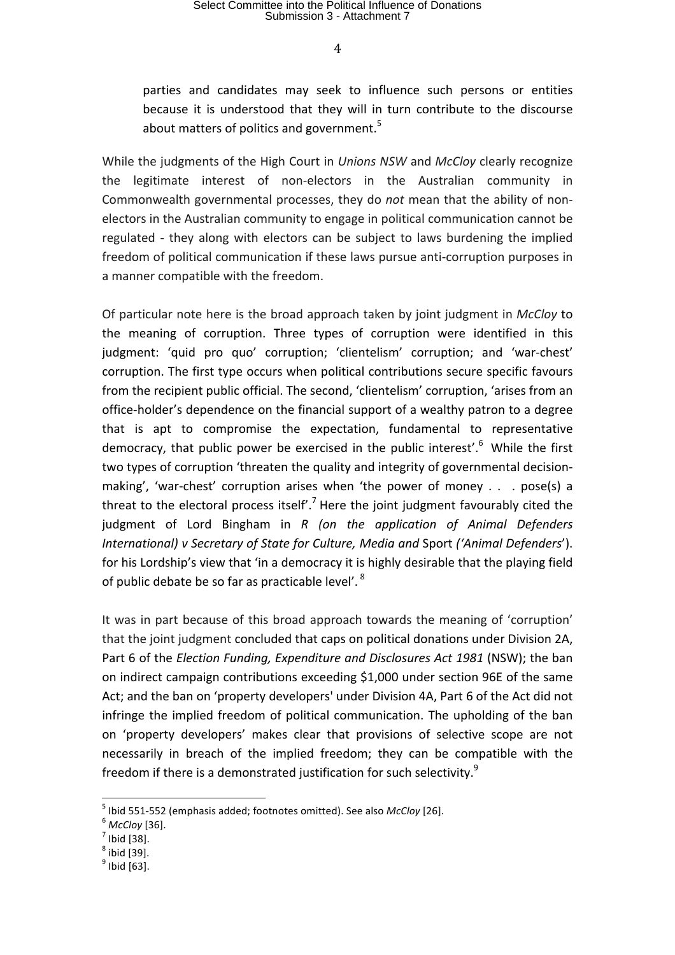4

parties and candidates may seek to influence such persons or entities because it is understood that they will in turn contribute to the discourse about matters of politics and government.<sup>5</sup>

While the judgments of the High Court in *Unions NSW* and *McCloy* clearly recognize the legitimate interest of non-electors in the Australian community in Commonwealth governmental processes, they do *not* mean that the ability of nonelectors in the Australian community to engage in political communication cannot be regulated - they along with electors can be subject to laws burdening the implied freedom of political communication if these laws pursue anti-corruption purposes in a manner compatible with the freedom.

Of particular note here is the broad approach taken by joint judgment in *McCloy* to the meaning of corruption. Three types of corruption were identified in this judgment: 'quid pro quo' corruption; 'clientelism' corruption; and 'war-chest' corruption. The first type occurs when political contributions secure specific favours from the recipient public official. The second, 'clientelism' corruption, 'arises from an office-holder's dependence on the financial support of a wealthy patron to a degree that is apt to compromise the expectation, fundamental to representative democracy, that public power be exercised in the public interest'.<sup>6</sup> While the first two types of corruption 'threaten the quality and integrity of governmental decisionmaking', 'war-chest' corruption arises when 'the power of money  $\ldots$  pose(s) a threat to the electoral process itself'.<sup>7</sup> Here the joint judgment favourably cited the judgment of Lord Bingham in *R* (on the application of Animal Defenders *International)* v Secretary of State for Culture, Media and Sport ('Animal Defenders'). for his Lordship's view that 'in a democracy it is highly desirable that the playing field of public debate be so far as practicable level'. <sup>8</sup>

It was in part because of this broad approach towards the meaning of 'corruption' that the joint judgment concluded that caps on political donations under Division 2A, Part 6 of the *Election Funding, Expenditure and Disclosures Act 1981* (NSW); the ban on indirect campaign contributions exceeding \$1,000 under section 96E of the same Act; and the ban on 'property developers' under Division 4A, Part 6 of the Act did not infringe the implied freedom of political communication. The upholding of the ban on 'property developers' makes clear that provisions of selective scope are not necessarily in breach of the implied freedom; they can be compatible with the freedom if there is a demonstrated justification for such selectivity. $9$ 

<sup>&</sup>lt;sup>5</sup> Ibid 551-552 (emphasis added; footnotes omitted). See also *McCloy* [26].<br>
<sup>6</sup> *McCloy* [36].<br>
<sup>7</sup> Ibid [38].<br>
<sup>8</sup> ibid [39].

 $<sup>9</sup>$  Ibid [63].</sup>